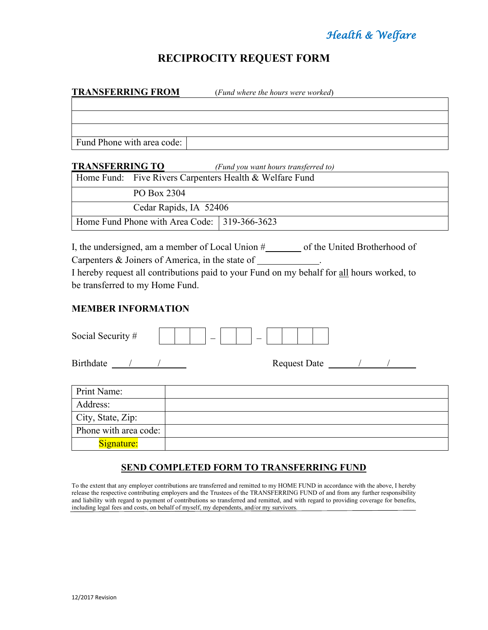# *Health & Welfare*

## **RECIPROCITY REQUEST FORM**

| <b>TRANSFERRING FROM</b>   | (Fund where the hours were worked)   |  |
|----------------------------|--------------------------------------|--|
|                            |                                      |  |
|                            |                                      |  |
|                            |                                      |  |
| Fund Phone with area code: |                                      |  |
| <b>TRANSFERRING TO</b>     | (Fund you want hours transferred to) |  |

|                        |                                              | Home Fund: Five Rivers Carpenters Health & Welfare Fund |
|------------------------|----------------------------------------------|---------------------------------------------------------|
|                        | PO Box 2304                                  |                                                         |
| Cedar Rapids, IA 52406 |                                              |                                                         |
|                        | Home Fund Phone with Area Code: 319-366-3623 |                                                         |

I, the undersigned, am a member of Local Union #\_\_\_\_\_\_\_\_ of the United Brotherhood of Carpenters & Joiners of America, in the state of . I hereby request all contributions paid to your Fund on my behalf for all hours worked, to be transferred to my Home Fund.

#### **MEMBER INFORMATION**

| Social Security #     |  |
|-----------------------|--|
| Birthdate / /         |  |
| Print Name:           |  |
| Address:              |  |
| City, State, Zip:     |  |
| Phone with area code: |  |
| Signature:            |  |

### **SEND COMPLETED FORM TO TRANSFERRING FUND**

To the extent that any employer contributions are transferred and remitted to my HOME FUND in accordance with the above, I hereby release the respective contributing employers and the Trustees of the TRANSFERRING FUND of and from any further responsibility and liability with regard to payment of contributions so transferred and remitted, and with regard to providing coverage for benefits, including legal fees and costs, on behalf of myself, my dependents, and/or my survivors.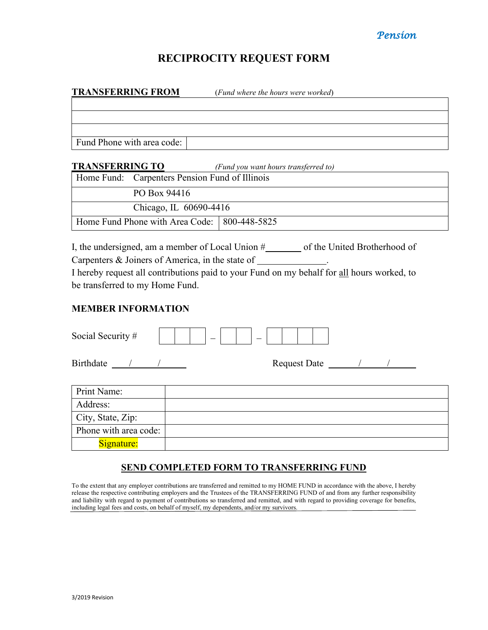## *Pension*

## **RECIPROCITY REQUEST FORM**

| <b>TRANSFERRING FROM</b>   | (Fund where the hours were worked)   |
|----------------------------|--------------------------------------|
|                            |                                      |
|                            |                                      |
|                            |                                      |
| Fund Phone with area code: |                                      |
| <b>TRANSFERRING TO</b>     | (Fund you want hours transferred to) |

| TRAFISHERINING TO |                                                | u una vou want nours transjerrea tor |
|-------------------|------------------------------------------------|--------------------------------------|
|                   | Home Fund: Carpenters Pension Fund of Illinois |                                      |
|                   | PO Box 94416                                   |                                      |
|                   | Chicago, IL 60690-4416                         |                                      |
|                   | Home Fund Phone with Area Code: 800-448-5825   |                                      |

I, the undersigned, am a member of Local Union #\_\_\_\_\_\_\_\_ of the United Brotherhood of Carpenters & Joiners of America, in the state of . I hereby request all contributions paid to your Fund on my behalf for all hours worked, to be transferred to my Home Fund.

#### **MEMBER INFORMATION**

| Social Security #     |  |
|-----------------------|--|
| Birthdate / /         |  |
| Print Name:           |  |
| Address:              |  |
| City, State, Zip:     |  |
| Phone with area code: |  |
| Signature:            |  |

## **SEND COMPLETED FORM TO TRANSFERRING FUND**

To the extent that any employer contributions are transferred and remitted to my HOME FUND in accordance with the above, I hereby release the respective contributing employers and the Trustees of the TRANSFERRING FUND of and from any further responsibility and liability with regard to payment of contributions so transferred and remitted, and with regard to providing coverage for benefits, including legal fees and costs, on behalf of myself, my dependents, and/or my survivors.